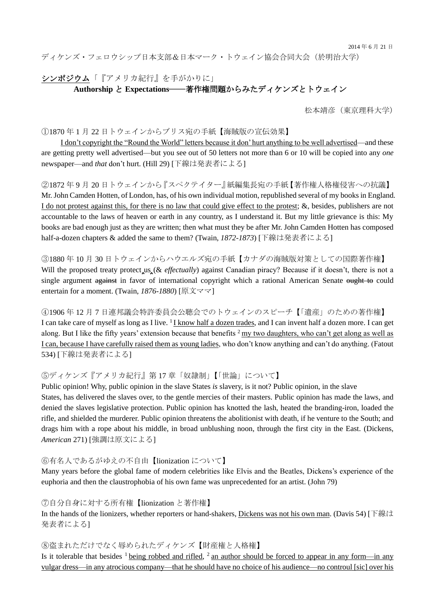2014 年 6 月 21 日

ディケンズ・フェロウシップ日本支部&日本マーク・トウェイン協会合同大会(於明治大学)

シンポジウム「『アメリカ紀行』を手がかりに」

## **Authorship** <sup>と</sup> **Expectations**―著作権問題からみたディケンズとトウェイン

松本靖彦(東京理科大学)

①1870 年 1 月 22 日トウェインからブリス宛の手紙【海賊版の宣伝効果】

 I don't copyright the "Round the World" letters because it don' hurt anything to be well advertised—and these are getting pretty well advertised—but you see out of 50 letters not more than 6 or 10 will be copied into any *one* newspaper—and *that* don't hurt. (Hill 29) [下線は発表者による]

②1872 年 9 月 20 日トウェインから『スペクテイター』紙編集長宛の手紙【著作権人格権侵害への抗議】 Mr. John Camden Hotten, of London, has, of his own individual motion, republished several of my books in England. I do not protest against this, for there is no law that could give effect to the protest; &, besides, publishers are not accountable to the laws of heaven or earth in any country, as I understand it. But my little grievance is this: My books are bad enough just as they are written; then what must they be after Mr. John Camden Hotten has composed half-a-dozen chapters & added the same to them? (Twain, *1872-1873*) [下線は発表者による]

③1880 年 10 月 30 日トウェインからハウエルズ宛の手紙【カナダの海賊版対策としての国際著作権】 Will the proposed treaty protect us (& *effectually*) against Canadian piracy? Because if it doesn't, there is not a single argument against in favor of international copyright which a rational American Senate ought to could entertain for a moment. (Twain, *1876-1880*) [原文ママ]

④1906 年 12 月 7 日連邦議会特許委員会公聴会でのトウェインのスピーチ【「遺産」のための著作権】 I can take care of myself as long as I live. <sup>1</sup> I know half a dozen trades, and I can invent half a dozen more. I can get along. But I like the fifty years' extension because that benefits  $2 \text{ my two daughters}$ , who can't get along as well as I can, because I have carefully raised them as young ladies, who don't know anything and can't do anything. (Fatout 534) [下線は発表者による]

⑤ディケンズ『アメリカ紀行』第 17 章「奴隷制」【「世論」について】

Public opinion! Why, public opinion in the slave States *is* slavery, is it not? Public opinion, in the slave States, has delivered the slaves over, to the gentle mercies of their masters. Public opinion has made the laws, and denied the slaves legislative protection. Public opinion has knotted the lash, heated the branding-iron, loaded the rifle, and shielded the murderer. Public opinion threatens the abolitionist with death, if he venture to the South; and drags him with a rope about his middle, in broad unblushing noon, through the first city in the East. (Dickens, *American* 271) [強調は原文による]

⑥有名人であるがゆえの不自由【lionization について】

Many years before the global fame of modern celebrities like Elvis and the Beatles, Dickens's experience of the euphoria and then the claustrophobia of his own fame was unprecedented for an artist. (John 79)

⑦自分自身に対する所有権【lionization と著作権】

In the hands of the lionizers, whether reporters or hand-shakers, Dickens was not his own man. (Davis 54) [下線は 発表者による1

⑧盗まれただけでなく辱められたディケンズ【財産権と人格権】

Is it tolerable that besides  $1$  being robbed and rifled,  $2$  an author should be forced to appear in any form—in any vulgar dress—in any atrocious company—that he should have no choice of his audience—no controul [sic] over his